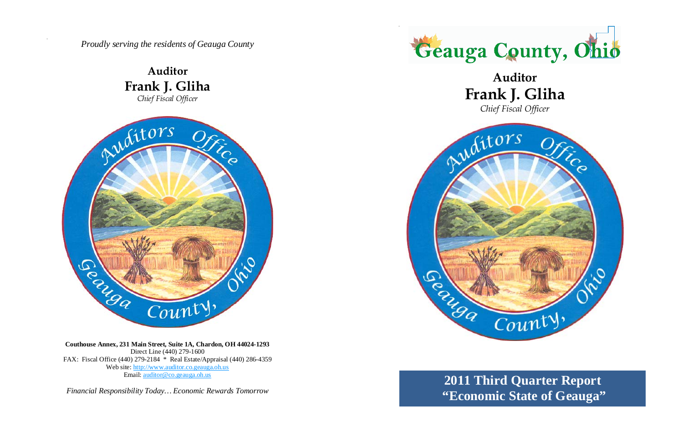*Proudly serving the residents of Geauga County*

**Auditor Frank J. Gliha**  *Chief Fiscal Officer* 



**Couthouse Annex, 231 Main Street, Suite 1A, Chardon, OH 44024-1293**  Direct Line (440) 279-1600 FAX: Fiscal Office (440) 279-2184 \* Real Estate/Appraisal (440) 286-4359 Web site: http://www.auditor.co.geauga.oh.us Email: auditor@co.geauga.oh.us

*Financial Responsibility Today… Economic Rewards Tomorrow*





### **Auditor Frank J. Gliha**  *Chief Fiscal Officer*

## **2011 Third Quarter Report "Economic State of Geauga"**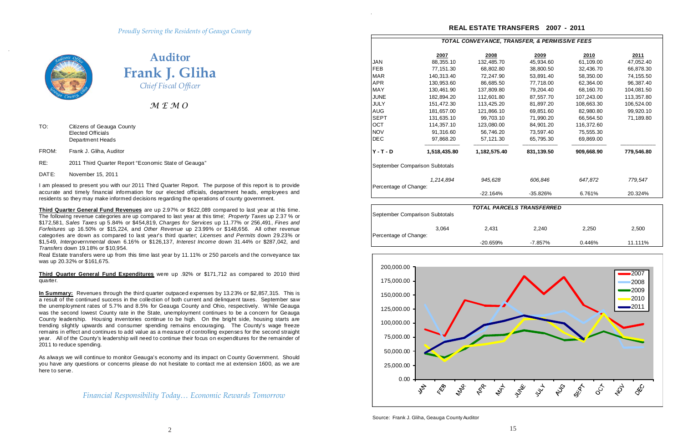*Financial Responsibility Today… Economic Rewards Tomorrow*



**Auditor Frank J. Gliha** *Chief Fiscal Officer*

*M E M O* 

- TO: Citizens of Geauga County Elected Officials Department Heads
- FROM: Frank J. Gliha, Auditor
- RE: 2011 Third Quarter Report "Economic State of Geauga"
- DATE: November 15, 2011

I am pleased to present you with our 2011 Third Quarter Report. The purpose of this report is to provide accurate and timely financial information for our elected officials, department heads, employees and residents so they may make informed decisions regarding the operations of county government.

**Third Quarter General Fund Expenditures** were up .92% or \$171,712 as compared to 2010 third quarter.

**Third Quarter General Fund Revenues** are up 2.97% or \$622,089 compared to last year at this time. The following revenue categories are up compared to last year at this time; *Property Taxes* up 2.37 % or \$172,581, *Sales Taxes* up 5.84% or \$454,819, *Charges for Services* up 11.77% or 256,491, *Fines and Forfeitures* up 16.50% or \$15,224, and *Other Revenue* up 23.99% or \$148,656. All other revenue categories are down as compared to last year's third quarter; *Licenses and Permits* down 29.23% or \$1,549, *Intergovernmental* down 6.16% or \$126,137, *Interest Income* down 31.44% or \$287,042, and *Transfers* down 19.18% or \$10,954.

Real Estate transfers were up from this time last year by 11.11% or 250 parcels and the conveyance tax was up 20.32% or \$161,675.

**In Summary:** Revenues through the third quarter outpaced expenses by 13.23% or \$2,857,315. This is a result of the continued success in the collection of both current and delinquent taxes. September saw the unemployment rates of 5.7% and 8.5% for Geauga County and Ohio, respectively. W hile Geauga was the second lowest County rate in the State, unemployment continues to be a concern for Geauga County leadership. Housing inventories continue to be high. On the bright side, housing starts are trending slightly upwards and consumer spending remains encouraging. The County's wage freeze remains in effect and continues to add value as a measure of controlling expenses for the second straight year. All of the County's leadership will need to continue their focus on expenditures for the remainder of 2011 to reduce spending.

As always we will continue to monitor Geauga's economy and its impact on County Government. Should you have any questions or concerns please do not hesitate to contact me at extension 1600, as we are here to serve.

|                                |              |              |                           | TOTAL CONVEYANCE, TRANSFER, & PERMISSIVE FEES |            |
|--------------------------------|--------------|--------------|---------------------------|-----------------------------------------------|------------|
|                                | 2007         | 2008         | 2009                      | 2010                                          | 2011       |
| JAN                            | 88,355.10    | 132,485.70   | 45,934.60                 | 61,109.00                                     | 47,052.40  |
| FEB                            | 77,151.30    | 68,802.80    | 38,800.50                 | 32,436.70                                     | 66,878.30  |
| <b>MAR</b>                     | 140,313.40   | 72,247.90    | 53,891.40                 | 58,350.00                                     | 74,155.50  |
| <b>APR</b>                     | 130,953.60   | 86,685.50    | 77,718.00                 | 62,364.00                                     | 96,387.40  |
| <b>MAY</b>                     | 130,461.90   | 137,809.80   | 79,204.40                 | 68,160.70                                     | 104,081.50 |
| <b>JUNE</b>                    | 182,894.20   | 112,601.80   | 87,557.70                 | 107,243.00                                    | 113,357.80 |
| <b>JULY</b>                    | 151,472.30   | 113,425.20   | 81,897.20                 | 108,663.30                                    | 106,524.00 |
| <b>AUG</b>                     | 181,657.00   | 121,866.10   | 69,851.60                 | 82,980.80                                     | 99,920.10  |
| <b>SEPT</b>                    | 131,635.10   | 99,703.10    | 71,990.20                 | 66,564.50                                     | 71,189.80  |
| OCT                            | 114,357.10   | 123,080.00   | 84,901.20                 | 116,372.60                                    |            |
| <b>NOV</b>                     | 91,316.60    | 56,746.20    | 73,597.40                 | 75,555.30                                     |            |
| <b>DEC</b>                     | 97,868.20    | 57,121.30    | 65,795.30                 | 69,869.00                                     |            |
| $Y - T - D$                    | 1,518,435.80 | 1,182,575.40 | 831,139.50                | 909,668.90                                    | 779,546.80 |
| September Comparison Subtotals |              |              |                           |                                               |            |
|                                | 1,214,894    | 945,628      | 606,846                   | 647,872                                       | 779,547    |
| Percentage of Change:          |              | $-22.164%$   | -35.826%                  | 6.761%                                        | 20.324%    |
|                                |              |              | TOTAL PARCELS TRANSFERRED |                                               |            |
| September Comparison Subtotals |              |              |                           |                                               |            |
|                                | 3,064        | 2,431        | 2,240                     | 2,250                                         | 2,500      |
| Percentage of Change:          |              | $-20.659%$   | $-7.857%$                 | 0.446%                                        | 11.111%    |

### **REAL ESTATE TRANSFERS 2007 - 2011**



Source: Frank J. Gliha, Geauga County Auditor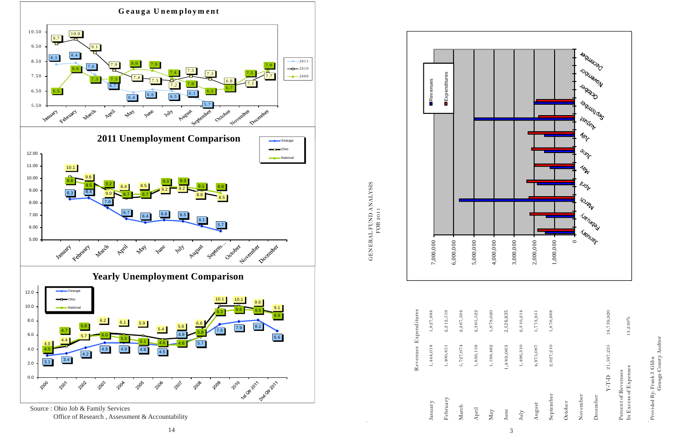Source : Ohio Job & Family Services

Provided By: Frank J. Gliha<br>Geauga County Auditor Geauga County Auditor Provided By: Frank J. Gliha

Office of Research , Assessment & Accountability



GENERAL FUND ANALYSIS<br>FOR 2011 GENERAL FUND ANALYSIS FOR 2011

|                       | 1,827,888 | 2,212,519 | 2,267,504 | 2,365,522 | 1,979,020 |  |
|-----------------------|-----------|-----------|-----------|-----------|-----------|--|
| Revenues Expenditures | 1,444,018 | 1,400,851 | 5,727,074 | 1,839,159 | 1,198,462 |  |
|                       | January   | February  | March     | April     | May       |  |





 $13.230\%$ 

7,000,000

 $7,000,000$ 

6,000,000



 $6,000,000$ 

5,000,000

5,000,000

Revenues

**Revenues** 

Expenditures

**DExpenditures**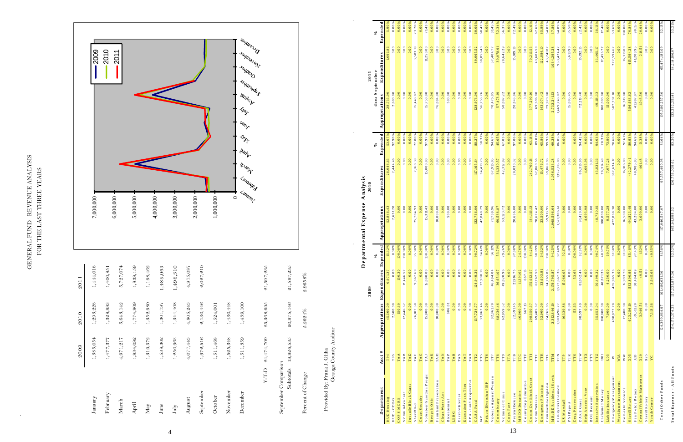|    | $\mathrm{July}$                                                                                 | 1,250,963                                                                                      | $1,344,408$                                                           | 1,496,310                                  |                                    | 3,000,000                                   |                                           |                                                                       |                                                                 |                                                          |                                               |
|----|-------------------------------------------------------------------------------------------------|------------------------------------------------------------------------------------------------|-----------------------------------------------------------------------|--------------------------------------------|------------------------------------|---------------------------------------------|-------------------------------------------|-----------------------------------------------------------------------|-----------------------------------------------------------------|----------------------------------------------------------|-----------------------------------------------|
|    | August                                                                                          | 4,077,443                                                                                      | 4,805,243                                                             | $\overline{ }$<br>4,975,08'                |                                    |                                             |                                           |                                                                       |                                                                 |                                                          |                                               |
|    | September                                                                                       | 1,972,516                                                                                      | 2,130,446                                                             | 2,027,210                                  |                                    | 2,000,000                                   |                                           |                                                                       |                                                                 |                                                          |                                               |
|    | October                                                                                         | 1,511,468                                                                                      | 1,524,001                                                             |                                            |                                    | 1,000,000                                   |                                           |                                                                       |                                                                 |                                                          |                                               |
|    | November                                                                                        | 1,525,348                                                                                      | 1,430,448                                                             |                                            |                                    |                                             |                                           |                                                                       |                                                                 |                                                          |                                               |
|    | December                                                                                        | 1,511,359                                                                                      | 1,439,100                                                             |                                            |                                    | Amangr<br>$\circ$                           | Multon<br><b>BARAT</b><br><b>Annual</b>   | $\mathcal{I}_{\mathcal{E}_{\mathcal{J}_{\mathcal{V}}}}$               | <b>Fallboard</b><br><b>ASTLATE</b><br>$4n_f$<br><sup>SUIT</sup> | <b>Decamber</b><br><b>Radical Rev</b><br><b>Sciol</b> st |                                               |
|    | $\mbox{T-T-D}$                                                                                  | 24,474,709                                                                                     | 25,368,695                                                            | 5<br>21,597,23                             |                                    |                                             |                                           |                                                                       |                                                                 |                                                          |                                               |
|    | September Comparison<br>Subtotals                                                               | 19,926,535                                                                                     | 20,975,146                                                            | $\tilde{c}$<br>21,597,23                   |                                    |                                             |                                           |                                                                       |                                                                 |                                                          |                                               |
|    | Percent of Change                                                                               |                                                                                                | $5.2624\%$                                                            | 2.9658%                                    |                                    |                                             |                                           |                                                                       |                                                                 |                                                          |                                               |
|    | Provided By: Frank J. Gliha                                                                     | Geauga County Auditor                                                                          |                                                                       |                                            |                                    |                                             |                                           |                                                                       |                                                                 |                                                          |                                               |
|    |                                                                                                 |                                                                                                |                                                                       | 2009                                       |                                    | Departmental Expense                        | Analysis<br>2010                          |                                                                       |                                                                 |                                                          |                                               |
|    |                                                                                                 | #                                                                                              |                                                                       |                                            | న్                                 |                                             | Expenditures                              | ℅                                                                     | thru September<br>2011                                          | <b>Expenditures</b>                                      | ᆋ<br>Expende<br>℅                             |
|    | Department<br>HUD Housing                                                                       | $\frac{\text{A} \cot}{\text{F}^{94}}$                                                          | Appropriations<br>45,500.00<br>2,500.00                               | 0.00<br>Expenditures                       | Expended<br>15.32%                 | <b>Appropriations</b><br>52,848.43          |                                           | ರ $ \cdot $<br>Expended<br>$\frac{1}{53.075}$                         | Appropriations                                                  |                                                          | 90                                            |
|    | COPS MORE<br>$HUD - CDBG$                                                                       | TAA<br>TAB<br>$T95$                                                                            | $\frac{150.30}{12.446.52}$                                            | 150.30<br>12,446.52                        | 0.00%                              | 2,631.20<br>0.00                            | 2,444.46<br>0.0000                        | 92.90%<br>0.00%                                                       | 0.00<br>2,600.00                                                | 0.00<br>0.0000                                           | 0.00%<br>0.00%                                |
|    | Advocate<br>Victim                                                                              | $_{\rm TA\,D}$                                                                                 | 0.00                                                                  | 0.00                                       |                                    | 0.00<br>0.00                                | 0.00                                      | 0.00%                                                                 | 0.00<br>0.00                                                    | 0.00                                                     | శ<br>0.00<br>0.00                             |
|    | Juvenile Block Grant<br>Sheriff K-9<br>Court Security                                           | TAG<br>$_{\rm {TAF}}$                                                                          | 0.00<br>26,107.50                                                     | 0.00<br>9,367.69                           | $0.00%$<br>35.88%                  | 0.00<br>,784.93<br>25                       | 0.00<br>, 168.39<br>$\sim$                | $\begin{array}{r} 0.00\% \\ 27.80\% \\ 0.00\% \\ 97.97\% \end{array}$ | 0.00<br>15,443.82                                               | 0.00<br>3,583.19                                         | ೫<br>೫<br>23.20<br>0.00                       |
|    | Volunteer Guardian Progra                                                                       | $_{\rm{TAJ}}$                                                                                  | 15,000.00                                                             | 15,000.00                                  | $0.00\%$                           | 15,311.43                                   | 15,000.00                                 |                                                                       | 15,750.00                                                       | 11,250.00                                                | ೫<br>71.43                                    |
|    | Farm land Preservation<br>ecycle Ohio<br>$\simeq$                                               | TAM<br>TAK                                                                                     | 0.00<br>10,000.00                                                     | $_{0.00}$<br>0.00                          | 0.00%<br>0.00%                     | 0.00<br>10,000.00                           | 0.00<br>0.00                              | 0.00%<br>0.00%                                                        | 0.00<br>76,884.00                                               | 0.0<br>0.00<br>$\circ$                                   | ೫<br>0.00<br>0.00                             |
|    | Clean Water Act<br><b>B</b> icentennial                                                         | TAN<br>TAP                                                                                     | 806.01                                                                | 0.00000                                    | *0.00%<br>*0.00%<br>0.00%<br>0.00% | 0.00<br>500.00                              | 0.00000                                   | $0.00\%$                                                              | 0.00<br>500.00                                                  | 0.00000                                                  | $0.00\%$<br>0.00%                             |
|    | $LEB G$                                                                                         | TAR<br>$_{\rm {TAS}}$                                                                          | 0.00<br>$_{\rm 0.00}$                                                 | 0.00<br>$_{\rm 0.00}$                      |                                    | 0.00<br>0.00                                | 0.00<br>0.0000                            | 0.00%<br>0.00%                                                        | 0.00<br>0.00                                                    | 0.00                                                     | *<br>0.00<br>0.00                             |
|    | Escrow Interest<br>Education Pass Thru<br>EP A - Land Acquisition                               | $\begin{array}{c} T A T \\ T A X \end{array}$                                                  | 0.00<br>0.00                                                          | 0.00<br>$0.00\,$                           |                                    | 0.00<br>0.00                                | 0.00                                      | 0.00%<br>0.00%                                                        | 0.0000                                                          | 00000                                                    | - ಹೇ<br>೫<br>0.00<br>0.00                     |
|    | $CASA$ Fund<br>IAP                                                                              | TT <sub>5</sub>                                                                                | 137,724.77<br>33,062.46                                               | 124,949.36<br>27,908.10                    | 90.72%<br>84.41%                   | 132,736.06<br>42,848.29<br>132.             | 117, 165.64<br>34, 410.26                 | 88.27%<br>80.31%                                                      | 128,973.00                                                      | 89,065.52<br>38,856.48                                   | ೫<br>69.069<br>68.479                         |
|    | m e n<br>ris on $D$ ivers io n / IS P                                                           | $\begin{array}{c} \mathbf{T}\mathbf{T}\mathbf{6}\\ \mathbf{T}\mathbf{T}\mathbf{7} \end{array}$ | 0.00<br>82,861.70                                                     | 0.00<br>46,494.04                          | 0.00%<br>56.11%                    | 0.00<br>71,739.96                           | 0.00<br>67,916.05                         | $0.00\%$<br>94.67%                                                    | 0.00<br>70,476.85                                               | 27.404.77                                                | 0.00%<br>೫<br>81.45                           |
|    | Violence Against Wo<br>Commissary                                                               | TT8<br>TT9                                                                                     | 68,236.46<br>62,859.52                                                | 49,820.96<br>36,651.07                     | 53.71%<br>79.26%                   | .72<br>69,538.87<br>63,123                  | 31,330.57<br>42,312.99                    | 45.05%<br>67.03%                                                      | 22<br>57,473.19<br>50,807                                       | 30,078.91<br>29<br>28,642                                | 52.34                                         |
| 13 | Victims of Crime<br>Cops Fast                                                                   | TTA                                                                                            | 0.00                                                                  | 0.00                                       | 888756                             | 0.00                                        | 0.00                                      | 0.00%                                                                 | 0.00                                                            | 0.00                                                     | ೫<br>0.00                                     |
|    | MRDD Donation<br>County Cop Education<br>P retrial R e lease                                    | TTC                                                                                            | 22,391.45<br>46,000.00                                                | 21,916.75<br>11,391.62                     | 6%                                 | 20,636.00<br>0.00                           | 20,030.32<br>0.00                         | 0.00%                                                                 | 20,843.96<br>0.00                                               | 15, 109.18<br>0.00                                       | ೫<br>72.49<br>0.00                            |
|    | Comm Dev Block Grant                                                                            | $\frac{1}{\Gamma}$<br>TTF                                                                      | 667.13<br>$208,550.57$<br>$69,405.32$                                 | $667.13$<br>$\frac{175,612.57}{61,762.50}$ | 100.00%<br>84.21%<br>88.99%        | 0.00<br>384,116.13                          | 0.00<br>242,700.18                        | 0.00%<br>63.18%<br>89.01%                                             | 0.00<br>577,290.16                                              | 0.00<br>70,216.55<br>43,604.59                           | ೫<br>$12\,.16$ %<br>0.00                      |
|    | Victim/Witne                                                                                    | TTK                                                                                            |                                                                       | 33,603.91                                  | 64.62                              | 70,624.42<br>23,500.00                      | 15,476.72                                 |                                                                       | 69,596.00<br>143,074.42                                         | 122,884.10                                               | ೫<br>.65<br>85.89<br>$62$ .                   |
|    | Emergency Planning<br>Criminal Investigation<br>MR/DD Residental Servic<br>Family First Council | TTM<br>TTL                                                                                     | $\begin{array}{r} 52,000.00 \\ 74,765.85 \\ 2,312,846.10 \end{array}$ | 74,765.85<br>2,179,795.87                  | 100.00%<br>94.25%<br>87.48%        | 59,913.95<br>.,968,596.64<br>$\overline{a}$ | 59,869.93<br>2,056,523.28<br>1,352,115.08 | 65.86%<br>99.93%<br>69.28%<br>86.05%                                  | 79,970.00<br>2,732,241.13                                       | $1,034,295.28$<br>953,424.42<br>43,241.87                | ತಿ<br>.86<br>37.                              |
|    |                                                                                                 | TTN                                                                                            | 1,803,496.27                                                          | 1,577,667.36                               |                                    | 1,571,306.61                                |                                           |                                                                       | 1,469,243.02                                                    |                                                          | ೫<br>64.89                                    |
|    | US Marshall<br>P SIReport                                                                       | <b>TTR</b><br>TTP                                                                              | 16,339.88<br>$_{0.00}$                                                | 0.00<br>15,060.05                          | 0.00%<br>92.17                     | 0.00<br>$_{0.00}$<br>0.00                   | 0.00<br>0.00                              | 0.00%                                                                 | 0.00<br>0.00<br>15,805.45                                       | 0.00<br>$5,6\,10.9\,0$<br>0.00                           | ೫<br>$0.009$<br>35.50                         |
|    | Drug Prosecution<br>DARE Grant                                                                  | TTW<br><b>TTS</b>                                                                              | 53.63<br>98,597.49                                                    | 53.63<br>81,652.44                         | 100.00%<br>82.81%                  | 91,420.00                                   | 0.00<br>86,316.86                         | 0.00%<br>94.42%                                                       | $\frac{1}{4}$<br>72,218.                                        | 16, 192.15                                               | $0.00%$<br>22.42%                             |
|    | Help America Vote<br>BOE Recount                                                                | $\frac{1}{\sqrt{1}}$<br>TTX                                                                    | 0.00<br>0.00                                                          | 0.00<br>0.00                               | 0.00%<br>0.00%                     | $_{0.00}$<br>4,695.98                       | 4,695.98<br>0.00                          | 0.00%<br>0.00%                                                        | 0.00<br>$_{\rm 0.00}$                                           | 0.00<br>$_{0.00}$                                        | 0.00<br>0.00                                  |
|    | Intensive Supervision<br>ed Money<br>Unclaim                                                    | <b>TTZ</b><br>$_{\rm U01}$                                                                     | 100,000.00<br>55,653.04                                               | 40,871.33<br>50,499.22                     | 90.74%<br>40.87%                   | 48,730.81<br>100,000.00                     | 45,82136<br>78,314.49                     | 78.31%<br>94.03%                                                      | 100,000.00<br>49,118.33                                         | 33,465.17<br>17,455.77                                   | ೫<br>17.46<br>$68.13$                         |
|    | Liab ility <b>Insurance</b><br>Emergency Management                                             | $\frac{10}{10}$                                                                                | 8 2 2 2 2 3 8 6 7<br>0 0 0 0 0 0 1 2                                  | 4,250.00<br>405,965.33                     | 81.38%<br>60.71%                   | 477,838.30<br>.28<br>577<br>$\bullet$       | 7,077.28                                  | 73.90%<br>70.66%                                                      | 15,000.00<br>507,702.10                                         | 0.00<br>272,594.62                                       | ೫<br>0.00<br>53.69                            |
|    | Workforce hvestment<br>Domestic Violence                                                        | <b>WIA</b><br>WW                                                                               | 0.00<br>17,400.00                                                     | 0.00<br>15,993.70                          | 0.00%<br>9192%                     | 0.00<br>16,500.00                           | 0.00<br>16,106.00                         | 0.00%<br>97.61%                                                       | 0.00<br>16,318.00                                               | 0.00<br>16,318.00                                        | 0.00%<br>$\overline{0}$<br>$\overline{100}$ . |
|    | Sheriff Rotary                                                                                  | $\frac{0.7}{10}$                                                                               | 623,286.10<br>39,511.20                                               | 532,800.96<br>38,494.09                    | 85.48%<br>97.43%<br>1.62%          | 491,823.49<br>43,284.00                     | 442,279.41                                | 89.93%<br>94.69%                                                      | $586,683.62$<br>41,987.07                                       | 4 15,594.28<br>4 1,208.95                                | 98.15<br>70.84                                |
|    | Central Vehicle Maintenan<br>Fair Police Rotary                                                 | $\frac{X20}{X25}$                                                                              | 3,049.51                                                              | 49.51                                      |                                    | 00.000                                      | $40,985.83$<br>$401.48$                   | 13.38%                                                                | 1,043.50                                                        | $218.51$                                                 | 20.94                                         |
|    | Sheriff Rotary<br>Youth Center                                                                  | $_{\rm YC}$                                                                                    | 0.00<br>7,313.68                                                      | $0.00$<br>3,645.68                         | 0.00%<br>49.85                     | 0.00<br>0.00                                | 0.00<br>0.00                              | 0.00%<br>0.00%                                                        | 0.00<br>0.00                                                    | $0.00\,$<br>0.00                                         | 0.00<br>0.00                                  |
|    | Total Other Funds                                                                               |                                                                                                |                                                                       |                                            |                                    |                                             |                                           |                                                                       |                                                                 |                                                          |                                               |
|    | Total Expense - All Funds                                                                       |                                                                                                |                                                                       |                                            |                                    |                                             |                                           |                                                                       |                                                                 |                                                          |                                               |

|                                   | 2009       | 2010       | 2011       |  |
|-----------------------------------|------------|------------|------------|--|
| January                           | 1,385,054  | 1,293,228  | 1,444,018  |  |
| February                          | 1,477,377  | 1,328,993  | 1,400,851  |  |
| March                             | 4,971,217  | 5,643,142  | 5,727,074  |  |
| April                             | 1,934,092  | 1,774,909  | 1,839,159  |  |
| ${\rm May}$                       | 1,319,572  | 1,352,980  | 1,198,462  |  |
| June                              | 1,538,302  | 1,301,797  | 1,489,063  |  |
| July                              | 1,250,963  | 1,344,408  | 1,496,310  |  |
| August                            | 4,077,443  | 4,805,243  | 4,975,087  |  |
| September                         | 1,972,516  | 2,130,446  | 2,027,210  |  |
| October                           | 1,511,468  | 1,524,001  |            |  |
| November                          | 1,525,348  | 1,430,448  |            |  |
| December                          | 1,511,359  | 1,439,100  |            |  |
|                                   |            |            |            |  |
| <b>G-L-X</b>                      | 24,474,709 | 25,368,695 | 21,597,235 |  |
| September Comparison<br>Subtotals | 19,926,535 | 20,975,146 | 21,597,235 |  |
| Percent of Change                 |            | 5.2624%    | 2.9658%    |  |

| REVENUE ANALYSIS    | FOR THE LAST THREE YEARS |
|---------------------|--------------------------|
| <b>GENERAL FUND</b> |                          |

 $\sim$ 

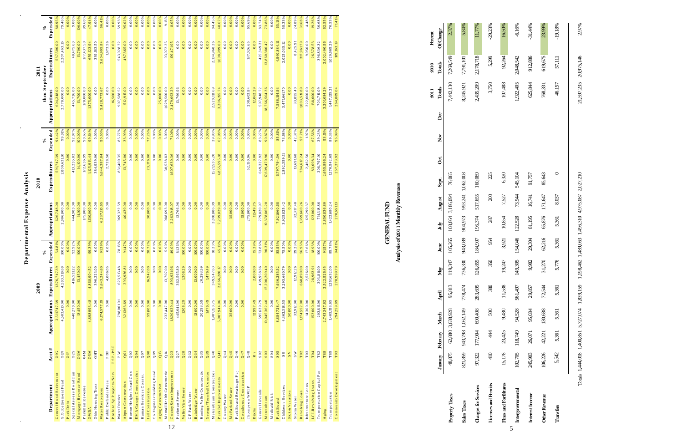5

|                               |                       |                | 2009                |               |                | 2010                  |               |                                  | 2011          |               |
|-------------------------------|-----------------------|----------------|---------------------|---------------|----------------|-----------------------|---------------|----------------------------------|---------------|---------------|
| Department                    | Acct #                | Appropriations | <b>Expenditures</b> | Expended<br>వ | Appropriations | Expenditures          | Expended<br>℅ | thru September<br>Appropriations | Expenditures  | Expended<br>℅ |
| General Bond Retirement       | $rac{1}{2}$           | 2,511,747.39   | 1,376,747.39        | 54.81%        | 626,748.00     | 591,747.39            | 94.42%        | 604,248.00                       | 537,500.00    | 88.95%        |
| G.O.Retirement Fund           | $\overline{a}$        | 4,583,410.00   | 4,583,318.68        | $00.00\%$     | 2,806,000.00   | 2,800,631.10          | 99.81%        | 2,778,000.00                     | 2,207,463.16  | 79.46%        |
| Park Debt                     | $\overline{D}$        | 0.00           | 0.00                | 0.00%         | 0.00           | 0.00                  | 0.00%         | 0.00                             | 0.00          | 0.00%         |
| Special Assess Bond Fun       | O <sub>2</sub> S      | 448,278.00     | 416,531.22          | 92.92%        | 444,983.00     | 413,235.82            | 92.87%        | 445,726.00                       | 40,475.63     | 9.08%         |
| Mortgage Revenue Bond         | O3M                   | 13,450.00      | 13,450.00           | $00.00\%$     | 14,100.00      | 14,100.00             | 100.00%       | 13,700.00                        | 13,700.00     | $0.000\%$     |
| Parkman Revenue               | 04M                   |                |                     |               | 175,000.00     | 172,636.99            | 98.65%        | 178,000.00                       | 177,437.50    | 99.68%        |
| <b>OWDA</b>                   | <b>O<sub>5M</sub></b> | 4,898,993.48   | 4,868,904.52        | 99.39%        | 1,130,000.00   | 1,125,913.44          | 99.64%        | 1,375,000.00                     | 659, 123.94   | 47.94%        |
| Ohio Housing Trust            | OHT                   | 0.00           | 390,223.00          | 0.00%         | 0.00           | 384,939.00            | 0.00%         | 0.00                             | 339,183.50    | 0.00%         |
| Water Resources               | $\sim$                | 6,174,577.19   | 5,643,244.60        | 91.39%        | 6,237,110.65   | 5,644,387.84          | 90.50%        | 5,428,773.67                     | 3,604,995.84  | 66.41%        |
| Public DefenderFees           | P D F                 | 0.00           | 4,006.05            | 0.00%         | 0.00           | 2,728.50              | 0.00%         | 0.00                             | 1,673.56      | 0.00%         |
| Probate Sp Projects/Serv      | PSP/PSF               |                |                     |               |                |                       |               | 16,500.00                        | 0.00          | 0.00%         |
| Water District                | $_\mathrm{P}$ W       | 798,001.01     | 623,513.48          | $78.13\,\%$   | 969,322.59     | 831,400.35            | 85.77%        | 907,588.52                       | 543,928.72    | 59.93%        |
| Airport Construction          | Q <sub>01</sub>       | 321,363.69     | 293,936.81          | 91.47%        | 40,439.00      | 13,745.00             | 33.99%        | 5 12,9 15.00                     | 487,365.00    | 95.02%        |
| Burton Heights Road Con       | Q <sub>02</sub>       | 0.00           | 0.00                | 0.00%         | 0.00           | 0.00                  | 0.00%         | 0.00                             | 0.00          | 0.00%         |
| EM A Garage Construction      | $Q$ 04                | 0.00           | 0.00                | 0.00%         | 0.00           | 0.00                  | 0.00%         | 0.00                             | 0.00          | 0.00%         |
| Human Services Constr.        | Q <sub>07</sub>       | 0.00           | 0.00                | 0.00%         | 0.00           | 0.00                  | 0.00%         | 0.00                             | 0.00          | 0.00%         |
| Jail Construction             | Q08                   | 59,000.00      | 16,942.00           | 28.72%        | 30,000.00      | 23,176.00             | 77.25%        | 0.00                             | 0.00          | 0.00%         |
| Co Engineer Building Fund     | Q09                   | 0.00           | 0.00                | 0.00%         | 0.00           | 0.00                  | 0.00%         | 0.00                             | 0.00          | 0.00%         |
| Aging Construction            | Q13                   | 0.00           | 0.00                | 0.00%         | 0.00           | 0.00                  | 0.00%         | 25,000.00                        | 0.00          | 0.00%         |
| Mental Health Constructio     | $Q$ 14                | 232,447.00     | 13,707.00           | 5.90%         | 988,693.00     | 30,538.83             | 3.09%         | 1,029,500.00                     | 93,972.25     | 9.13%         |
| County Sewer Improvemer<br>12 | Q <sub>23</sub>       | 1,820,929.44   | 893,921.96          | 49.09%        | 2,263,918.07   | 1,607,630.36          | 71.01%        | 2,479,093.29                     | 199,471.95    | 8.05%         |
| Parkman Sewer                 | Q <sub>27</sub>       | 445,64100      | 362,565.80          | 8136%         | 13,766.96      | 0.00                  | 0.00%         | 13,766.96                        | 0.00          | 0.00%         |
| Valley View Sewer             | Q <sub>28</sub>       | 1,308.29       | 1,308.29            | $00.00\%$     | 0.00           | 0.00                  | 0.00%         | 0.00                             | 0.00          | 0.00%         |
| CF Park Water                 | Q32                   | 0.00           | 0.00                | 0.00%         | 0.00           | 0.00                  | 0.00%         | 0.00                             | 0.00          | 0.00%         |
| Bainbridge Water              | $Q$ 34                | 13,000.00      | 13,000.00           | $100.00\%$    | 0.00           | 0.00                  | 0.00%         | 0.00                             | 0.00          | 0.00%         |
| Hunting Valley Constructio    | Q35                   | 20,293.59      | 20,293.59           | $00.00\%$     | 0.00           | 0.00                  | 0.00%         | 0.00                             | 0.00          | 0.00%         |
| Geauga/Trumbull Constru       | Q39                   | 1,476.49       | 1,476.49            | 100.00%       | 0.00           | 0.00                  | 0.00%         | 0.00                             | 0.00          | 0.00%         |
| Metzenbaum Construction       | Q40                   | 1,907, 153.75  | 349,547.63          | 18.33%        | 3,810,886.09   | 1,521,535.20          | 39.93%        | 2,528,113.69                     | 2,134,968.36  | 84.45%        |
| Park Bd Improvements          | Q <sub>41</sub>       | 5,907,944.06   | 2,666,280.17        | 45.13%        | 7,239,029.00   | 4,855,595.18          | 67.08%        | 3,306,195.74                     | 1,608,999.00  | 48.67%        |
| County Water                  | Q <sub>44</sub>       | 0.00           | $_{0.00}$           | 0.00%         | 0.00           | 0.00                  | 0.00%         | 0.00                             | 0.00          | 0.00%         |
| McFarland Sewer               | Q45                   | 35,000.00      | 0.00                | 0.00%         | 35,000.00      | 0.00                  | 0.00%         | 0.00                             | 0.00          | 0.00%         |
| Park Board Retainage Pay      | Q46                   | 0.00           | 0.00                | 0.00%         | 0.00           | 0.00                  | 0.00%         | 0.00                             | 0.00          | 0.00%         |
| Courthouse Construction       | Q47                   | 0.00           | 0.00                | 0.00%         | 15,000.00      | 0.00                  | 0.00%         | 0.00                             | 0.00          | 0.00%         |
| Thompson WWTP                 | Q <sub>48</sub>       |                |                     |               | 275,000.00     | 52,150.96             | 0.00%         | 208,603.84                       | 137,026.65    | 65.69%        |
| Ditchs                        | $\mathbf{R}$ 's       | 12,997.49      | 2,000.00            | 15.39%        | 11,549.75      | 0.00                  | 0.00%         | 12,062.29                        | 0.00          | 0.00%         |
| General Juvenile              | S <sub>02</sub>       | 595,639.79     | 439,958.36          | 73.86%        | 779,820.97     | 649,327.92            | 83.27%        | 507,948.72                       | 425,349.31    | 83.74%        |
| Metzenbaum                    | S <sub>03</sub>       | 19,045,362.40  | 17,200,209,40       | 90.31%        | 19,378,865.20  | 06.074, 609<br>$\Box$ | 90.87%        | 18,766,504.36                    | 13,860,380.47 | 73.86%        |
| Medicaid Risk                 | S <sub>04</sub>       | 0.00           | 0.00                | 0.00%         | 0.00           | 0.00                  | 0.00%         | 0.00                             | 0.00          | 0.00%         |
| Park Board                    | S <sub>05</sub>       | 8,884,728.47   | 7,636,285.52        | 85.95%        | 7,921,660.68   | 6,797,794.56          | 85.81%        | 7,586,194.93                     | 4,940,884.11  | 65.13%        |
| Children's Services           | SS                    | 4,362,318.55   | 3,293,660.79        | 75.50%        | 3,925,825.42   | 2,892,359.11          | 73.68%        | 3,471,661.70                     | 2,025,035.12  | 58.33%        |
| Sick & Vacation               | $_{\rm S}$ v          | 50,000.00      | 0.00                | 0.00%         | 0.00           | 0.00                  | 0.00%         | 0.00                             | 0.00          | 0.00%         |
| Storm Water                   | $_{\rm s}$ w          | 32,912.00      | 12,912.26           | 39.23%        | 32,317.40      | 13,691.68             | 42.37%        | 33,855.40                        | 8,425.91      | 24.89%        |
| Revolving Loan                | T02                   | 1,174,552.00   | 668,899.00          | 56.95%        | 1,359,660.26   | 784,617.24            | 57.71%        | 1,003,519.89                     | 317,961.79    | 31.68%        |
| In frastructure Loans         | T03                   | 14,300.00      | 2,526.00            | 17.66%        | 125,299.37     | 2,462.50              | 1.97%         | 222,000.00                       | 9,950.00      | $4.48\,\%$    |
| LCL Revolving Loans           | T04                   | 153,000.00     | 28,963.91           | 18.93%        | 123,000.00     | 83,098.34             | 67.56%        | 138,000.00                       | 26,578.53     | 19.26%        |
| Transportation Capital Fur    | T82                   | 203,811.00     | 203,811.00          | 00.00%        | 714,318.86     | 208,797.10            | 29.23%        | 703,719.09                       | 398,836.32    | 56.68%        |
| Aging                         | T88                   | 2,743,347.62   | 2,522,926.45        | 91.97%        | 2,850,836.80   | 2,655,896.24          | 93.16%        | 3,201,084.29                     | 2,002,400.96  | 62.55%        |
| Transportation                | T89                   | 1,405,193.65   | 1,261,632.00        | 89.78%        | 1,422,680.24   | 1,270,942.69          | 89.33%        | 1,447, 125.21                    | 1,020,669.29  | 70.53%        |
| Community Development         | T93                   | 294,259.89     | 278,999.79          | 94.81%        | 270,651.13     | 257,373.92            | 95.09%        | 264,889.04                       | 189,163.19    | 71.41%        |

### 5.84% 11.77% 2.37%  $-29.23%$ **Property Taxes** 48,875 62,880 3,638,928 95,813 119,347 105,265 108,864 3,186,094 76,065 7,442,130 7,269,549 2.37% **Sales Taxes** 821,859 943,798 1,062,149 778,474 736,330 943,089 904,973 993,241 1,062,008 8,245,921 7,791,101 5.84% **Charges for Services** 97,322 177,904 690,408 283,695 126,855 184,907 196,374 517,655 160,089 2,435,209 2,178,718 11.77% **Licenses and Permits** and Permits and Permits and Party and 200 500 350 350 350 350 350 350 350 225 23% Percent<br>Of Change April April April April April Aust Sept Sungust August Judy Ting The Sept August August April April April April August August August August August August August August August August August August August August August Augus **2011 2010 Percent** 7,269,549 7,791,101 2,178,718 5,299 2010<br>Totals 7,442,130 8,245,921 2,435,209 3,750  $\frac{\text{2011}}{\text{Totals}}$  $Dec$  $\sum_{i=1}^{n}$  $o$ ct. 160,089 76,065  $225$ 993,241 1,062,008 Sept. 517,655 108,864 3,186,094  $200\,$ August 904,973 196,374 287 July 105,265 943,089 184,907 954  $June$ 119,347 736,330 126,855 350 May 95,813 778,474 283,695 380 April 690,408 500 62,880 3,638,928 943,798 1,062,149 January February March 177,904  $44$ 48,875 821,859 97,322 410 Licenses and Permits Charges for Services **Property Taxes** Sales Taxes

Totals 1,444,018 1,400,851 5,727,074 1,839,159 1,198,462 1,489,063 1,496,310 4,975,087 2,027,210 21,597,235 20,975,146 2.97% Totals 1,444,018 1,400,851 5,727,074 1,839,159 1,198,462 1,489,063 1,496,310 4,975,087 2,027,210

2.97%

21,597,235 20,975,146

GENERAL FUND<br>Analysis of 2011 Monthly Revenues **Analysis of 2011 Monthly Revenues**

| ì<br>nalvs.<br>ì     |  |
|----------------------|--|
| xpense<br>ï<br>Ŀ     |  |
| entai<br>martin<br>1 |  |

| <b>Fines and Forfeitures</b> |         |                   | $15,178$ $23,425$ $9,480$ $11,538$ |         | 19,247  | 3,921   | 10,854  | 7,527   | 6,320   | 107,488   | 92,264    | 16.50%    |
|------------------------------|---------|-------------------|------------------------------------|---------|---------|---------|---------|---------|---------|-----------|-----------|-----------|
| Intergovernmental            |         | 102,705 118,749   | 94,528                             | 561,497 | 149,305 | 154,046 | 122,528 | 73,944  | 545,104 | 1,922,405 | 2,048,542 | $-6.16%$  |
| Interest Income              | 245,903 | 26,071            | 95,034                             | 29,857  | 9,982   | 29,304  | 81,195  | 16,741  | 91,757  | 625,844   | 912,886   | $-31.44%$ |
| <b>Other Revenue</b>         | 106,226 |                   | 42,221 130,688                     | 72,544  | 31,270  | 62,216  | 65,876  | 171,647 | 85,643  | 768,331   | 619,675   | 23.99%    |
| <b>Transfers</b>             |         | 5,542 5,361 5,361 |                                    | 5,361   | 5,776   | 5,361   | 5,361   | 8,037   |         | 46,157    | 57,111    | $-19.18%$ |
|                              |         |                   |                                    |         |         |         |         |         |         |           |           |           |

**GENERAL FUND**

 $\mathcal{A}^{\mathcal{A}}$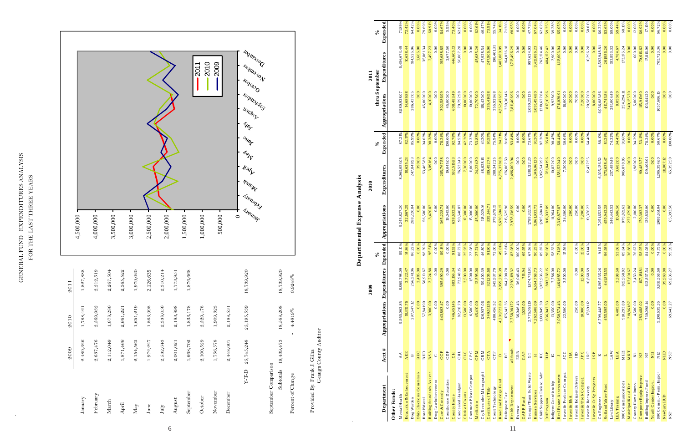|                      | 2009       | 2010                    | 2011       |
|----------------------|------------|-------------------------|------------|
| January              | 2,489,326  | 1,788,421               | 1,827,888  |
| February             | 2,637,476  | 2,569,932               | 2,212,519  |
| March                | 2,112,049  | 1,678,286               | 2,267,504  |
| April                | 1,871,466  | 2,661,221               | 2,365,522  |
| ${\rm May}$          | 2,154,563  | 1,651,219               | 1,979,020  |
| June                 | 1,972,227  | 1,863,998               | 2,126,635  |
| $\rm{July}$          | 2,532,643  | 2,338,056               | 2,310,214  |
| August               | 2,001,021  | 2,183,898               | 1,773,951  |
| September            | 1,668,702  | 1,833,178               | 1,876,668  |
| October              | 2,100,529  | 2,529,478               |            |
| November             | 1,756,578  | 1,909,323               |            |
| December             | 2,448,667  | 2,188,531               |            |
| <b>G-L-X</b>         | 25,745,248 | 25,195,539              | 18,739,920 |
| September Comparison |            |                         |            |
| Subtotals            | 19,439,473 | 18,568,208              | 18,739,920 |
| Percent of Change    |            | 4.4819%<br>$\mathbf{I}$ | 0.9248%    |

## GENERAL FUND EXPENDITURES ANALYSIS<br>FOR THE LAST THREE YEARS GENERAL FUND EXPENDITURES ANALYSIS FOR THE LAST THREE YEARS

 $\sim$ 



| 2,001,021 | 2,183,898                                            | 1,773,951                                                          |                             |                                             |                                                                       |                          |                                                                                                     |                                     |                            |
|-----------|------------------------------------------------------|--------------------------------------------------------------------|-----------------------------|---------------------------------------------|-----------------------------------------------------------------------|--------------------------|-----------------------------------------------------------------------------------------------------|-------------------------------------|----------------------------|
| 1,668,702 | $1,833,178$                                          | 1,876,668                                                          |                             | ,500,000                                    |                                                                       |                          |                                                                                                     |                                     |                            |
| 2,100,529 | 2,529,478                                            |                                                                    |                             | ,000,000                                    |                                                                       |                          |                                                                                                     | 2010<br>2011                        |                            |
| 1,756,578 | 1,909,323                                            |                                                                    |                             | 500,000                                     |                                                                       |                          |                                                                                                     | 2009                                |                            |
| 2,448,667 | 2,188,531                                            |                                                                    |                             |                                             |                                                                       |                          |                                                                                                     |                                     |                            |
|           | 25, 195, 539<br>25,745,248                           | 18,739,920                                                         |                             | <b>Asemany</b><br><b>Asenner</b><br>$\circ$ | $\frac{d\mathbf{r}_{i}}{d\mathbf{r}_{j}}$<br>$u_{u}$<br><b>VISIEN</b> | <sup>Shing</sup>         | <b>POLICE</b><br><b>FOUNDATION</b><br><b>LANDROUTE</b><br>$\mathcal{D}_{\mathcal{U}_{\mathcal{F}}}$ | <b>December</b><br><b>ISORONTON</b> |                            |
|           | 18,568,208<br>19,439,473                             | 18,739,920                                                         |                             |                                             |                                                                       |                          |                                                                                                     |                                     |                            |
|           | $4.4819\%$                                           | 0.9248%                                                            |                             |                                             |                                                                       |                          |                                                                                                     |                                     |                            |
|           | Geauga County Auditor                                |                                                                    |                             | Departmental Expense                        | Analysis                                                              |                          |                                                                                                     |                                     |                            |
|           | Appropriations Expenditures                          | 2009                                                               | Expended<br>$\mathcal{S}_0$ | Appropriations                              | Expenditures<br>2010                                                  | న                        | thru September                                                                                      | 2011                                | న                          |
|           |                                                      |                                                                    |                             |                                             |                                                                       | Expended                 | Appropriations                                                                                      | Expenditures                        | Expended                   |
|           | 9,955,062.85                                         | 8,869,798.09<br>2,722.47                                           | 89.10%                      | 9,245,827.20                                | 8,063,053.05                                                          | 87.21%<br>82.17%         | 8,980,928.07                                                                                        | 6,456,673.49                        | 7189%                      |
|           | 18,319.76                                            | 256,541.06                                                         | H.86%<br>86.22%             | 22,667.29                                   | 18,625.23<br>247,848.93                                               | 85.99%                   | 14,689.88                                                                                           | 10,638.44<br>184,525.06             | 72.42%<br>64.42%           |
|           | 57,84190<br>0.00                                     | 2,485.00<br>56,910.67                                              | 0.00%<br>98.39%             | 56,500.00<br>0.00                           | 390.00<br>53,465.88                                                   | 0.00%<br>94.63%          | 45,000.00<br>0.00                                                                                   | 2,605.00<br>35,861.34               | 0.00%<br>79.69%            |
|           | 0.00<br>3,900.00                                     | 3,724.88<br>$\overline{0.00}$                                      | 95.51%<br>0.00%             | 0.00<br>3,420.82                            | 0.00<br>3,091.64                                                      | 0.00%<br>90.38%          | 0.00<br>4,100.00                                                                                    | 0.00<br>23<br>2,497                 | 60.91%                     |
|           | 443,803.47                                           | 395,690.29                                                         | 89.16%                      | 365,228.74                                  | 285,767.58                                                            | 78.24%                   | 302,586.99                                                                                          | 195,688.85                          | 64.67                      |
|           | 0.00<br>746,451.45                                   | 0.00<br>683,156.34                                                 | 0.00%<br>9152               | 19,045.00<br>$^{29}$<br>638,632             | 19,045.00<br>.515.83<br>592                                           | $00.00\%$<br>.78%<br>92. | 45,000.00<br>49<br>608,48                                                                           | 2,677.50<br>446,605.13              | 5.95%<br>73.40%            |
|           | 82,218.70<br>13,500.00                               | 72,948.15<br>3,500.00                                              | 88.72%<br>25.93%            | 90,540.87<br>17,300.00                      | 76,533.43<br>7,300.00                                                 | 84.53%<br>42.20%         | 79,792.98<br>10,000.00                                                                              | 50.007.28<br>0.00                   | 62.67%<br>0.00%            |
|           | 6,500.00                                             | 1,500.00                                                           | 23.08%                      | 15,000.00                                   | 11,000.00                                                             | 73.33%                   | 00.000.00                                                                                           | 0.00                                | 0.00%                      |
|           | 126,937.06<br>45,410.00                              | 12,595.08<br>59,400.39                                             | 46.80%                      | 45,000.00<br>118,029.16                     | 30<br>48,628.16<br>24,224.                                            | 53.83%<br>41.20%         | 72,705.00<br>II8,420.00                                                                             | 45,085.26<br>47,928.54              | 40.47%<br>62.01%           |
|           | 349,511.56<br>480,456.52                             | 321,205.68<br>345,937.79                                           | 72.00%<br>9190%             | 339,144.71<br>379,678.15                    | 288,342.25<br>3 10,492.74                                             | 91.55%<br>75.94%         | 335,414.98<br>355,929.68                                                                            | 247,906.00<br>198,40131             | 55.74%<br>73.91%           |
|           | 175,142.35<br>4,201,722.83                           | 2,059,206.39<br>164,298.70                                         | 93.81%<br>49.01%            | $5,670,504.17$<br>215,525.96                | 4,775,378.68<br>176,067.59                                            | 84.21%<br>81.69%         | 230,361.46<br>4,352,476.52                                                                          | 1,487,880.09<br>164,026.18          | 7120%<br>34.18%            |
|           | 2,758,981.72                                         | 2,292,119.32                                                       | 83.08%<br>00.00%            | 2,978,136.59                                | 2,496,809.94                                                          | 83.84%                   | 2,811,406.96                                                                                        | 1,713,496.29                        | 60.95%                     |
|           | 36,046.43<br>1.025.00                                | 36,046.43<br>716.94                                                | 69.95%                      | 0.00<br>0.00                                | 0.00<br>0.00                                                          | 0.00%<br>0.00%           | 0.00<br>0.00                                                                                        | 0.00<br>0.00                        | 0.00%<br>0.00%             |
|           | 2,775,051.10                                         | 1,874,75191                                                        | 67.56%<br>90.25%            | 1,789,322.16                                | 1,318,122.20                                                          | 73.67%<br>91.20%         | 2,090,251.35                                                                                        | 997,624.03<br>3,413,086.23          | 47.73%                     |
|           | 7,262,508.09<br>1,193,849.39                         | 6,554,768.73<br>1,072,936.22                                       | 89.87%                      | 5,861,933.73<br>1,205,604.01                | 5,346,061.30<br>1,052,543.92<br>781,841.96                            | 87.30%<br>95.81%         | 5,091,494.80<br>1,2 18,627.84<br>817,103.96                                                         | 763,124.46<br>484,172.42            | 67.04%<br>62.62%<br>59.25% |
|           | 13,350.00<br>836,047.33                              | 803,268.15<br>7,786.00                                             | 96.08%<br>58.32%            | 816,033.89<br>11,964.00                     | 10,822.00                                                             | 90.45%                   | 9,928.00                                                                                            | 3,900.00                            | 39.28%                     |
|           | 22,500.00<br>43<br>2,050,574                         | 1,461,685.72<br>3,500.00                                           | 7128%<br>15.56%             | 24,300.00<br>87<br>2,310,877.               | ,300.00<br>1,581,520.40<br>$\triangleright$                           | 30.04%<br>68.44%         | 1,711,030.91                                                                                        | 0.00<br>1,113,003.04                | 0.00%<br>65.05             |
|           |                                                      |                                                                    |                             | 200.00                                      | 0.00                                                                  | 0.00%                    | 16,000.00<br>200.00                                                                                 | 0.00                                | 0.00%                      |
|           | 250.00<br>10,000.00                                  | 0.00<br>1,500.00                                                   | $\frac{0.00\%}{15.00\%}$    | 250.00                                      | $\overline{0.00}$                                                     | 0.00%                    | 700.00<br>7,200.00                                                                                  | $\overline{0.00}$                   | 0.00%<br>0.00              |
|           | 17,691.12                                            | 10,868.69                                                          | 61.44%                      | 7,200.00<br>19,376.22                       | 0.00<br>12,477.55                                                     | 0.00%<br>64.40%          | 20,587.00                                                                                           | 0.00<br>10,296.28                   | 50.01%                     |
|           | 6,799,448.77                                         | 6, 195, 635.26                                                     | 91.12%                      | 7,251,652.55                                | 6,395,136.52                                                          | 88.19%                   | 8,000.00<br>6,936,083.86                                                                            | 4,592,948.81<br>0.00                | 66.22%<br>0.00%            |
|           | 455,595.00                                           | 441,851.55                                                         | 96.98%                      | 459,942.28<br>346,443.52                    | 373,638.47                                                            | 81.24%                   | 411,743.84                                                                                          | 261,986.20                          | 63.63%<br>69.00%           |
|           | 6,405.00                                             |                                                                    |                             | 10,686.50                                   | 257,489.46<br>3,682.00                                                | 74.32%<br>34.45%         | 281,004.49<br>8,050.00                                                                              | 193,893.32<br>4,784.67              |                            |
|           | 910,293.89                                           | $\begin{array}{r} 3,398.50 \\ 815,958.82 \\ 117,60167 \end{array}$ | 53.06%<br>89.64%            | 879,821.62                                  | 805,878.85                                                            | 91.60%                   | 254,294.11                                                                                          | 173, 175.24                         | 59.44%<br>68.10%           |
|           | 4,500.00<br>318,861.87                               | 3,450.24                                                           | 36.88%<br>76.67%            | 272,179.08<br>2,100.00                      | 0.00<br>1,980.00                                                      | 0.00%<br>94.29%          | 5,000.00<br>340,135.70                                                                              | 0.00<br>600.00                      | 0.00%<br>2.00%             |
|           | 283,488.02                                           | $167\,, 18\,18\,1$                                                 | 58.97%<br>84.08%            | 170,303.37                                  | 90,483.77                                                             | 53.13%<br>78.24%         | IIS, 9 19.60                                                                                        | 70,616.62                           | 60.92%                     |
|           | 0.00<br>730,098.14                                   | 0.00<br>613,837.54                                                 | 0.00%                       | 139,838.00<br>0.00                          | 108,408.01<br>0.00                                                    | 0.00%                    | 0.00<br>103,641.20                                                                                  | $17,8\,16.00$<br>0.00               | 17.19%<br>0.00%            |
|           | 5,108,639.35                                         | 3,818,558.60                                                       | 74.75%                      | 1,988,614.04                                | 1,206,394.60                                                          | 60.67%                   | 1,057,686.15                                                                                        | 705,723.36                          | 66.72%                     |
|           | $\begin{array}{c c} & 0.00 \\ 69,642.27 \end{array}$ | 39,969.88<br>69,636.27                                             | 0.00%<br>%99.9              | 0.00<br>65,393.50                           | 11,807.12<br>65,392.50                                                | $0.00\%$<br>00.00%       | $\overline{0.00}$<br>0.00                                                                           | $\overline{0.00}$<br>0.00           |                            |
|           |                                                      |                                                                    |                             |                                             |                                                                       |                          |                                                                                                     |                                     |                            |

# Departmental Expense Analysis **Departmental Expense Analysis**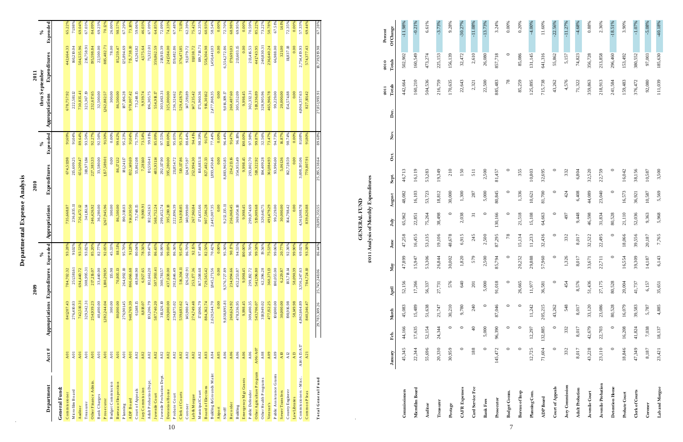7

|                      | January | Feb.          | March  | April  | May     | June   | July            | August  | Sept.  | $_{\rm oct.}$ | Nov. | Dec. | Totals<br>2011 | Totals<br>2010 | Of Change<br>Percent |
|----------------------|---------|---------------|--------|--------|---------|--------|-----------------|---------|--------|---------------|------|------|----------------|----------------|----------------------|
| Commissioners        | 45,345  | 44,166        | 45,083 | 52,156 | 47,899  | 47,258 | 65,962          | 48,082  | 46,713 |               |      |      | 442,664        | 502,902        | $-11.98%$            |
| Microfilm Board      | 22,344  | 17,635        | 15,489 | 17,266 | 15,947  | 16,455 | 22,851          | 16,103  | 16,119 |               |      |      | 160,210        | 160,549        | $-0.21%$             |
| Auditor              | 55,696  | 52,154        | 51,638 | 56,337 | 53,306  | 53,135 | 75,264          | 53,723  | 53,283 |               |      |      | 504,536        | 473,274        | 6.61%                |
| Treasurer            | 20,330  | 24,344        | 21,747 | 27,731 | 26,844  | 19,106 | 38,498          | 18,812  | 19,349 |               |      |      | 216,759        | 225,153        | $-3.73%$             |
| Postage              | 30,959  | $\circ$       | 30,210 | 576    | 30,002  | 48,678 | $\circ$         | 30,000  | 210    |               |      |      | 170,635        | 156,139        | 9.28%                |
| <b>CAFR</b> Expenses |         |               | 9,780  | 640    | 1,820   | 6,915  | 2,038           | 1,300   | 150    |               |      |      | 22,643         | 32,472         | $-30.27%$            |
| Card Service Fee     | 188     | $\frac{1}{4}$ | 240    | 201    | 579     | 245    | $\overline{31}$ | 287     | 511    |               |      |      | 2,321          | 2,610          | $-11.08%$            |
| <b>Bank Fees</b>     |         | 5,000         |        | 5,000  | 2,500   | 2,500  | $\circ$         | 5,000   | 2,500  |               |      |      | 22,500         | 26,080         | $-13.73%$            |
| Prosecutor           | 145,472 | 96,390        | 87,046 | 91,018 | 85,794  | 87,295 | 130,166         | 80,845  | 81,457 |               |      |      | 885,483        | 857,718        | 3.24%                |
| <b>Budget Comm.</b>  |         | $\circ$       |        |        | $\circ$ | 78     | $\circ$         | $\circ$ |        |               |      |      | 78             | $\circ$        | 0.00%                |

# GENERAL FUND<br>2011 Analysis of Monthly Expenditures **2011 Analysis of Monthly Expenditures**

| <b>Budget Comm.</b>    |        | 0       | 0       | 0      | $\circ$ | 78      | $\circ$ | $\circ$ |         | 78      | $\circ$ | 0.00%     |
|------------------------|--------|---------|---------|--------|---------|---------|---------|---------|---------|---------|---------|-----------|
| <b>Bureau of Insp</b>  | ∊      | 0       | $\circ$ | 26,665 | 20,252  | 15,134  | 21,518  | 1,336   | 355     | 85,259  | 85,086  | 0.20%     |
| Planning Com.          | 12,725 | 12,297  | 11,242  | 11,977 | 29,888  | 11,233  | 15,108  | 10,621  | 10,803  | 125,895 | 131,145 | $-4.00%$  |
| <b>ADP</b> Board       | 71,604 | 132,885 | 205,215 | 36,581 | 57,960  | 32,436  | 64,663  | 81,700  | 32,695  | 715,738 | 641,316 | 11.60%    |
| Court of Appeals       | 0      | $\circ$ | 43,262  | 0      | $\circ$ | $\circ$ | $\circ$ | $\circ$ | $\circ$ | 43,262  | 55,862  | $-22.56%$ |
| Jury Commission        | 332    | 332     | 548     | 454    | 1,326   | 332     | 497     | 424     | 332     | 4,576   | 5,157   | $-11.27%$ |
| <b>Adult Probation</b> | 8,017  | 8,017   | 8,017   | 8,576  | 8,017   | 8,017   | 9,448   | 6,408   | 6,804   | 71,322  | 74,823  | $-4.68%$  |
| Juvenile Court         | 43,228 | 42,679  | 33,120  | 51,436 | 33,671  | 32,522  | 46,598  | 44,089  | 32,520  | 359,863 | 356,728 | 0.88%     |
| Juvenile Probation     | 23,110 | 22,703  | 23,086  | 27,175 | 22,711  | 22,495  | 31,834  | 23,040  | 22,759  | 218,913 | 213,858 | 2.36%     |
| Detention Home         | 0      | $\circ$ | 80,528  | 80,528 | $\circ$ | $\circ$ | 80,528  | $\circ$ |         | 241,584 | 296,460 | $-18.51%$ |
| Probate Court          | 18,846 | 16,208  | 16,079  | 20,004 | 16,554  | 18,066  | 21,110  | 16,573  | 16,042  | 159,483 | 153,492 | 3.90%     |
| Clerk of Courts        | 47,349 | 41,824  | 39,583  | 41,737 | 39,309  | 39,556  | 52,036  | 36,921  | 38,156  | 376,472 | 380,552 | $-1.07%$  |
| Coroner                | 8,187  | 7,038   | 5,787   | 6,157  | 14,187  | 20,187  | 9,363   | 10,587  | 10,587  | 92,080  | 97,003  | $-5.08%$  |
| Lab and Morgue         | 23,421 | 18,137  | 4,885   | 35,651 | 6,143   | 7,765   | 5,968   | 5,569   | 3,500   | 111,039 | 185,630 | $-40.18%$ |

**GENERAL FUND**

 $\label{eq:2.1} \frac{1}{\sqrt{2}}\left(\frac{1}{\sqrt{2}}\right)^{2} \left(\frac{1}{\sqrt{2}}\right)^{2} \left(\frac{1}{\sqrt{2}}\right)^{2} \left(\frac{1}{\sqrt{2}}\right)^{2} \left(\frac{1}{\sqrt{2}}\right)^{2} \left(\frac{1}{\sqrt{2}}\right)^{2} \left(\frac{1}{\sqrt{2}}\right)^{2} \left(\frac{1}{\sqrt{2}}\right)^{2} \left(\frac{1}{\sqrt{2}}\right)^{2} \left(\frac{1}{\sqrt{2}}\right)^{2} \left(\frac{1}{\sqrt{2}}\right)^{2} \left(\$ 

|                           |                                                                                  |                            |                                    |          |                |               |           |                | 2011           |              |
|---------------------------|----------------------------------------------------------------------------------|----------------------------|------------------------------------|----------|----------------|---------------|-----------|----------------|----------------|--------------|
|                           |                                                                                  |                            |                                    | $\%$     |                |               | న         |                | thru September | న            |
| Department                | Acct #                                                                           | Appropriations Expenditure | S                                  | Expended | Appropriations | Expenditures  | Expended  | Appropriations | Expenditures   | ರ<br>Expende |
| General Fund:             |                                                                                  |                            |                                    |          |                |               |           |                |                |              |
| Commissioner              | A01                                                                              | 841,207.43                 | 784,702.32                         | 93.28%   | 735,668.87     | 674,511.98    | 91.69%    | 678,757.92     | 442,664.33     | 65.22%       |
| Microfilm Board           | A01                                                                              | 276,410.83                 | 251,58161                          | 9102%    | 236,835.11     | 215,609.25    | 91.04%    | 222,581.12     | 160,210.04     | 7198%        |
| Auditor                   | A01                                                                              | 742,510.31                 | 694,440.72                         | 93.53%   | 726,472.12     | 651,209.47    | 89.64%    | 730,835.41     | 504,535.96     | 69.04%       |
| Treas urer                | A01                                                                              | 329, 342. 31               | 308,995.31                         | 93.82%   | 341,161.14     | 318,971.84    | 93.50%    | 323,367.19     | 216,758.91     | 67.03%       |
| Other Finance Admin       | A01                                                                              | 254,939.23                 | 217,216.07                         | 85.20%   | 246,426.92     | 227,383.33    | 92.27%    | 232,617.65     | 195,598.84     | 84.09%       |
| Bank Charges              | A01                                                                              | 40,400.00                  | 33,440.00                          | 82.77%   | 36,280.00      | 33,580.00     | 92.56%    | 32,500.00      | 22,500.00      | 69.23%       |
| Prosecutor                | A01                                                                              | 1282,244.04                | 1,180,2919                         | 92.05%   | 1267,945.96    | 1,157,589.01  | 9130%     | 1,262,882.57   | 885,482.71     | 70.12%       |
| Budget Commission         | A01                                                                              | 300.00                     | $\frac{1}{2}$<br>135.9             | 45.33%   | 300.00         | 0.00          | 0.00%     | 300.00         | 78.00          | 26.00%       |
| Bureau of Inspection      | A01                                                                              | 80,000.00                  | 70,805.13                          | 88.51%   | 86,500.00      | 86,171.32     | 99.62%    | 86,500.00      | 85,259.47      | 98.57%       |
| Planning                  | A01                                                                              | 276,901.45                 | $\square$<br>264,992.              | 95.70%   | 190,318.03     | 181,241.17    | 95.23%    | 187,106.28     | 125,894.69     | 67.29%       |
| ADP Board                 | A01                                                                              | 948,769.39                 | $\infty$<br>866,066.6              | 91.28%   | 914,030.50     | 832, 149.69   | 91.04%    | 978,007.42     | 715,738.10     | 73.18%       |
| Court of Appeals          | A02                                                                              | 61,148.15                  | $\circ$<br>48,944.9                | 80.04%   | 73,748.15      | 55,862.08     | 75.75%    | 73,248.15      | 43,261.82      | 59.06%       |
| Jury Commission           | A02                                                                              | 8,818.07                   | $\overline{5}$<br>6,927.6          | 78.56%   | 9,900.91       | 7,281.60      | 73.54%    | 9,939.74       | 4,575.64       | 46.03%       |
| Adult Probation Dept.     | A02                                                                              | 103,206.79                 | 102,66120                          | 99.47%   | 102,562.63     | 101,550.41    | 99.01%    | 106,305.75     | 71,322.01      | 67.09%       |
| Juvenile Court            | A02                                                                              | 587,740.20                 | 507,993.41                         | 86.43%   | 568,752.24     | 483,931.14    | 85.09%    | 554,918.17     | 359,862.59     | 64.85%       |
| Juvenile Probation Dept   | A02                                                                              | 310,126.10                 | $\overline{ }$<br>300,7815         | 96.99%   | 299,452.74     | 292,117.90    | 97.55%    | 303,663.31     | 218,913.39     | 72.09%       |
| Detention Home            | A02                                                                              | 439,000.00                 | 437,638.00                         | 99.69%   | 395,280.18     | 395,280.00    | $00.00\%$ | 325,000.00     | 241,584.00     | 74.33%       |
| Probate Court<br>10       | A02                                                                              | 234,875.02                 | $\circ$<br>202,846.4               | 86.36%   | 222,896.39     | 211,854.72    | 95.05%    | 236,324.62     | 159,482.86     | 67.48%       |
| Clerk of Courts           | A02                                                                              | 539,683.62                 | $\equiv$<br>516,304.               | 95.67%   | 534,910.85     | 510,117.86    | 95.37%    | 529,428.79     | 376,471.85     | 71.11%       |
| Coroner                   | A02                                                                              | 145,980.47                 | 126,562.91                         | 86.70%   | 140,999.00     | 124,975.97    | 88.64%    | 147,591.89     | 92,079.72      | 62.39%       |
| Lab & Morgue              | A02                                                                              | 274,749.48                 | $\circ$<br>253, I77.3              | 92.15%   | 267,961.84     | 252,994.30    | 94.41%    | 147,235.42     | 111,038.72     | 75.42%       |
| Municipal Court           | A02                                                                              | 17,906.79                  | $\infty$<br>167,508.6              | 97.44%   | 171,435.66     | 168,683.11    | 98.39%    | 175,960.36     | 109,718.71     | 62.35%       |
| <b>Board of Elections</b> | A03                                                                              | 884,362.74                 | $\mathcal{Q}$<br>729,565.4         | 82.50%   | 907,586.28     | 827,482.33    | 91.I7%    | 916,301.62     | 558,304.98     | 60.93%       |
| Building & Grounds Maint  | A04                                                                              | 2,620,544.70               | $\circ$<br>1,845,2715              | 70.42%   | 2,445,007.35   | 1,893,450.46  | 77.44%    | 2,477,868.35   | 1,450,441.03   | 58.54%       |
| Airport                   | A05                                                                              | 0.00                       | 0.00                               | 0.00%    | 0.00           | 0.00          | 0.00%     | 0.00           | 0.00           | 0.00%        |
| Sheriff                   | A06                                                                              | 9,838,895.81               | ٩<br>9,376,727.8                   | 95.30%   | 9,212,135.11   | 8,883,965.85  | 96.44%    | 9,016,109.17   | 6,554,272.86   | 72.70%       |
| Recorder                  | A06                                                                              | 260,624.92                 | $\circ$<br>234,994.6               | 90.17%   | 256,068.45     | 234,213.16    | 91.47%    | 260,487.60     | 179,691.03     | 68.98%       |
| Building                  | A06                                                                              | 478,336.95                 | $\tilde{\mathcal{L}}$<br>452,253.8 | 94.55%   | 369,054.18     | 354,953.49    | 96.18%    | 305,352.09     | 213,603.15     | 69.95%       |
| Emergency Mgt Grants      | A06                                                                              | 9,998.45                   | $\sim$<br>9,998.4                  | 100.00%  | 9,998.45       | 9,998.45      | 100.00%   | 9,998.45       | 0.00           | 0.00%        |
| Public Defender           | A06                                                                              | 309,400.35                 | $\sim$<br>299, 192.7               | 96.70%   | 299,874.69     | 293,802.70    | 97.98%    | 302,332.31     | 213,416.53     | 70.59%       |
| Other Agriculture Program | A06/A07                                                                          | 543,706.07                 | $\circ$<br>541,396.8               | 99.58%   | 519,009.68     | 518,322.92    | 99.87%    | 518,336.89     | 441,743.95     | 85.22%       |
| Other Health Programs     | A08                                                                              | 318,949.02                 | $\sim$<br>62,396.2                 | 19.56%   | 320,641.75     | 104,409.28    | 32.56%    | 328,905.96     | 240,830.31     | 73.22%       |
| Veteran's                 | A09                                                                              | 477,152.25                 | 360,37113                          | 75.53%   | 491,479.29     | 361,084.93    | 73.47%    | 465,966.78     | 236,640.24     | 50.78%       |
| Public Assistance Grants  | A09                                                                              | 101,000.00                 | $\supseteq$<br>100,055.0           | 99.06%   | 99,229.00      | 93,996.00     | 94.73%    | 99,229.00      | 66,988.00      | $67.5\,1\%$  |
| Sewer Transfers           | A10                                                                              | 30,000.00                  | 6,229.87                           | 20.77%   | 30,000.00      | 5,06136       | 16.87%    | 20,000.00      | 321.00         | 1.61%        |
| County Engineer           | $\Delta$ 12                                                                      | 198,916.98                 | 183,718.14                         | 92.36%   | 164,798.42     | 162,728.59    | 98.74%    | 154,574.88     | 111,837.18     | 72.35%       |
| Law Libraries             | A13                                                                              | 58,49.98                   | 58,090.39                          | 99.90%   | 0.00           | 0.00          | 0.00%     | 0.00           | 0.00           | 0.00%        |
| Commissioners - Misc.     | $\mathbf{A}\, \mathbf{14} / \mathbf{A}\, \mathbf{15} / \mathbf{A}\, \mathbf{17}$ | 4,862,664.89               | $\tilde{\omega}$<br>3,356,247.6    | 69.02%   | 4,561,008.78   | 3,698,195.06  | 81.08%    | 4,804,357.63   | 2,754,419.93   | 57.33%       |
| Common Pleas              | A21                                                                              | 840,346.47                 | 784,724.10                         | 93.38%   | 839,620.88     | 16.70807.91   | 9180%     | 827,101.42     | 574,377.43     | 69.44%       |
| To tal General Fund       |                                                                                  | 29,783,309.26              | 25,745,248.0                       | 86.44%   | 28,095,35155   | 25,195,538.64 | 89.68%    | 27,851,993.9   | 86'616'682'81  | 67.28%       |
|                           |                                                                                  |                            |                                    |          |                |               |           |                |                |              |

| ١<br>ç                       |
|------------------------------|
| xpense<br>ı                  |
| $\frac{1}{2}$<br>Ĭ<br>í<br>á |

 $\frac{1}{2} \sum_{i=1}^n \frac{1}{2} \sum_{j=1}^n \frac{1}{2} \sum_{j=1}^n \frac{1}{2} \sum_{j=1}^n \frac{1}{2} \sum_{j=1}^n \frac{1}{2} \sum_{j=1}^n \frac{1}{2} \sum_{j=1}^n \frac{1}{2} \sum_{j=1}^n \frac{1}{2} \sum_{j=1}^n \frac{1}{2} \sum_{j=1}^n \frac{1}{2} \sum_{j=1}^n \frac{1}{2} \sum_{j=1}^n \frac{1}{2} \sum_{j=1}^n \frac{1}{2} \sum_{j=$